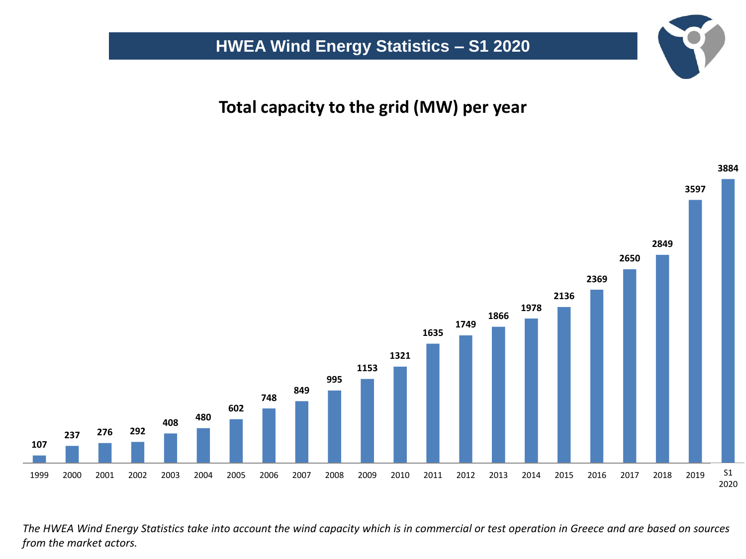**Total capacity to the grid (MW) per year**



The HWEA Wind Energy Statistics take into account the wind capacity which is in commercial or test operation in Greece and are based on sources *from the market actors.*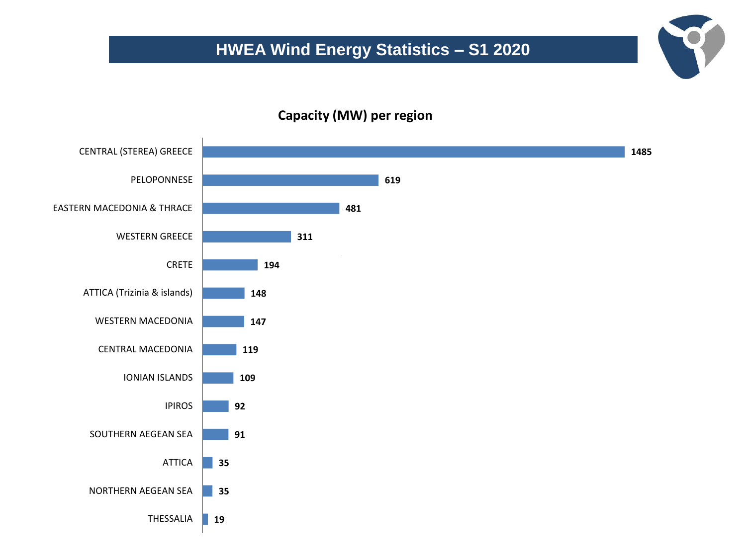#### **Capacity (MW) per region**

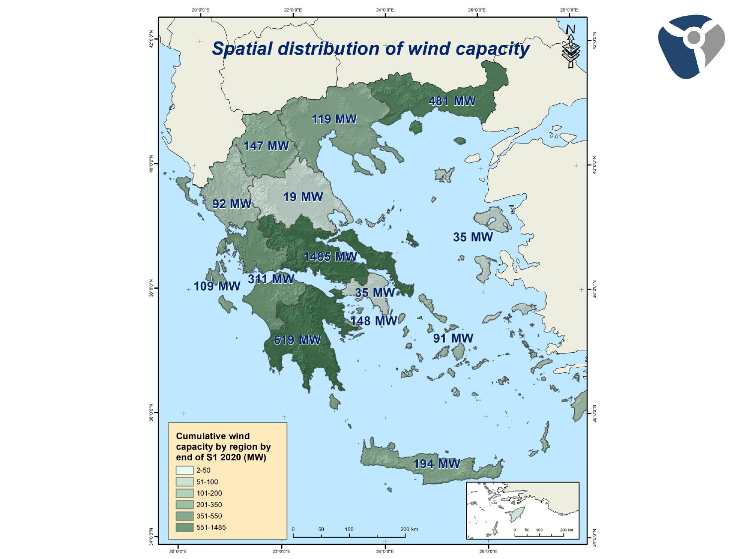

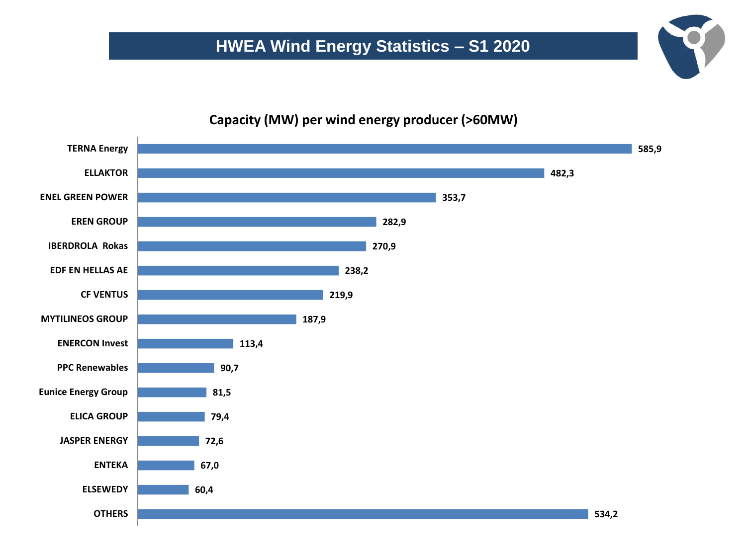#### **Capacity (MW) per wind energy producer (>60MW)**

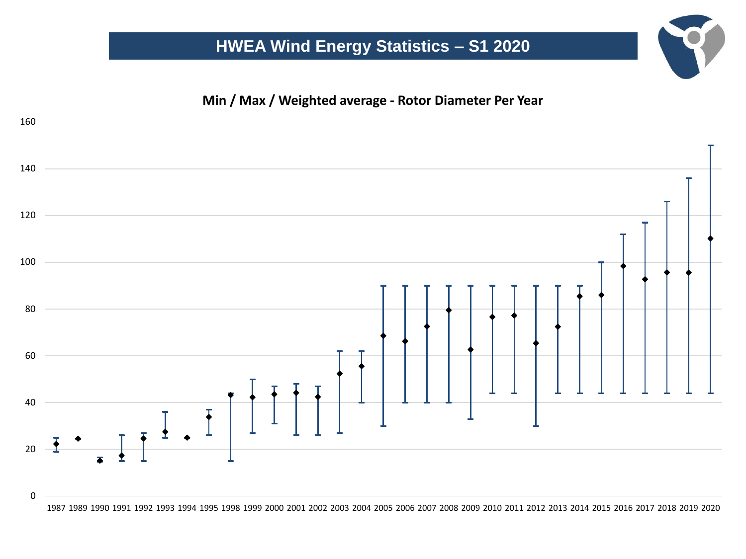

1989 1990 1991 1992 1993 1994 1995 1998 1999 2000 2001 2002 2003 2004 2005 2006 2007 2008 2009 2010 2011 2012 2013 2014 2015 2016 2017 2018 2019 2020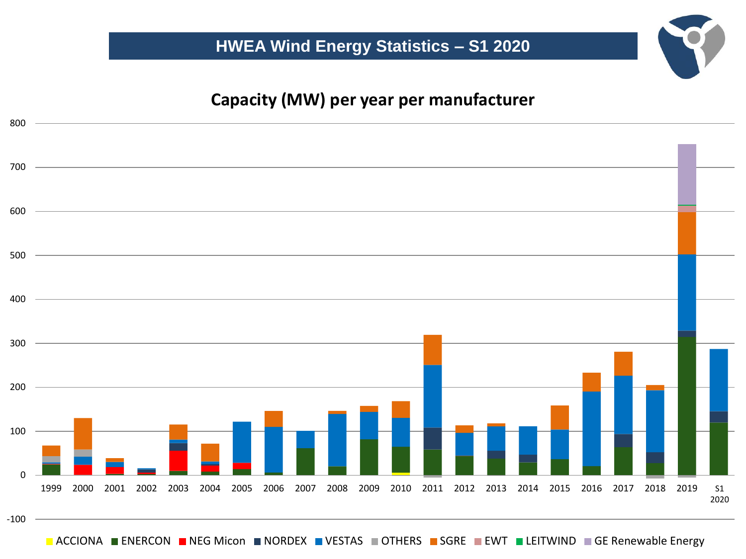## **Capacity (MW) per year per manufacturer**



**ACCIONA ENERCON NEG Micon NORDEX VESTAS OTHERS SGRE EWT LEITWIND GE Renewable Energy**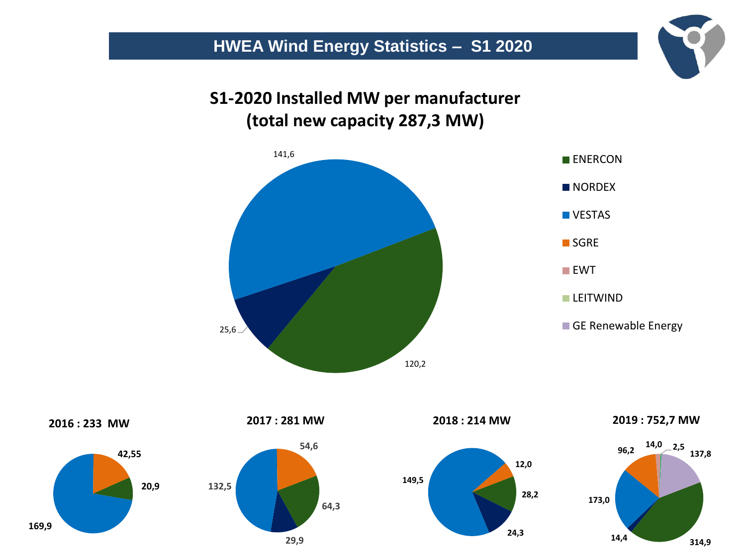**2019 Installed MW per manufacturer S1-2020 Installed MW per manufacturer (total new capacity 727,5 MW) (total new capacity 287,3 MW)** 





**2019 : 752,7 MW**